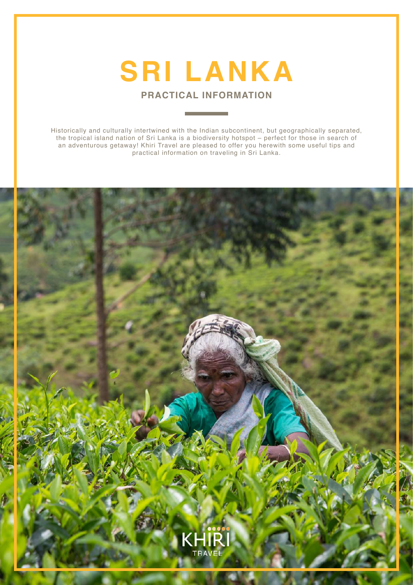

**PRACTICAL INFORMATION**

Historically and culturally intertwined with the Indian subcontinent, but geographically separated, the tropical island nation of Sri Lanka is a biodiversity hotspot – perfect for those in search of an adventurous getaway! Khiri Travel are pleased to offer you herewith some useful tips and practical information on traveling in Sri Lanka.

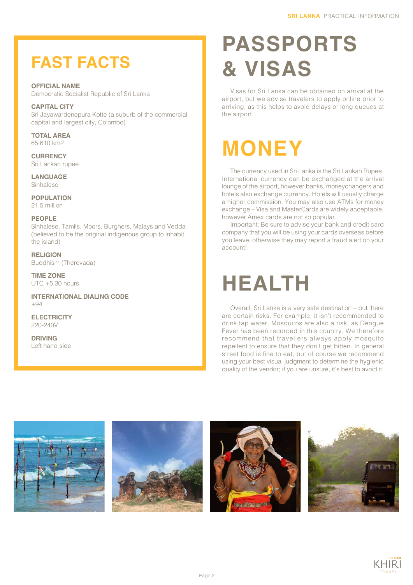#### **FAST FACTS**

**OFFICIAL NAME** Democratic Socialist Republic of Sri Lanka

**CAPITAL CITY** Sri Jayawardenepura Kotte (a suburb of the commercial capital and largest city, Colombo)

**TOTAL AREA** 65,610 km2

**CURRENCY** Sri Lankan rupee

**LANGUAGE** Sinhalese

**POPULATION** 21.5 million

#### **PEOPLE**

Sinhalese, Tamils, Moors, Burghers, Malays and Vedda (believed to be the original indigenous group to inhabit the island)

**RELIGION** Buddhism (Therevada)

**TIME ZONE**  $UTC + 5.30 hours$ 

**INTERNATIONAL DIALING CODE** +94

**ELECTRICITY** 220-240V

**DRIVING** Left hand side

### **PASSPORTS & VISAS**

Visas for Sri Lanka can be obtained on arrival at the airport, but we advise travelers to apply online prior to arriving, as this helps to avoid delays or long queues at the airport.

#### **MONEY**

The currency used in Sri Lanka is the Sri Lankan Rupee. International currency can be exchanged at the arrival lounge of the airport, however banks, moneychangers and hotels also exchange currency. Hotels will usually charge a higher commission. You may also use ATMs for money exchange – Visa and MasterCards are widely acceptable, however Amex cards are not so popular.

Important: Be sure to advise your bank and credit card company that you will be using your cards overseas before you leave, otherwise they may report a fraud alert on your account!

#### **HEALTH**

Overall, Sri Lanka is a very safe destination – but there are certain risks. For example, it isn't recommended to drink tap water. Mosquitos are also a risk, as Dengue Fever has been recorded in this country. We therefore recommend that travellers always apply mosquito repellent to ensure that they don't get bitten. In general street food is fine to eat, but of course we recommend using your best visual judgment to determine the hygienic quality of the vendor; if you are unsure, it's best to avoid it.









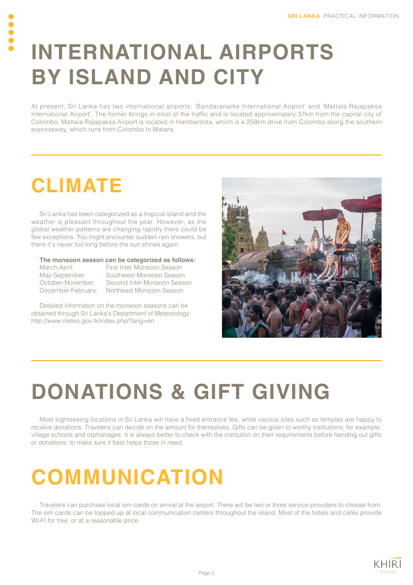#### **INTERNATIONAL AIRPORTS BY ISLAND AND CITY**

At present, Sri Lanka has two international airports; 'Bandaranaike International Airport' and 'Mattala Rajapaksa International Airport'. The former brings in most of the traffic and is located approximately 37km from the capital city of Colombo. Mattala Rajapaksa Airport is located in Hambantota, which is a 258km drive from Colombo along the southern expressway, which runs from Colombo to Matara.

#### **CLIMATE**

Sri Lanka has been categorized as a tropical island and the weather is pleasant throughout the year. However, as the global weather patterns are changing rapidly there could be few exceptions. You might encounter sudden rain showers, but there it's never too long before the sun shines again.

#### **The monsoon season can be categorized as follows:**

March-April: First Inter Monsoon Season May-September: Southwest Monsoon Season October-November: Second Inter Monsoon Season December-February: Northeast Monsoon Season

Detailed information on the monsoon seasons can be obtained through Sri Lanka's Department of Meteorology: http://www.meteo.gov.lk/index.php?lang=en



# **DONATIONS & GIFT GIVING**

Most sightseeing locations in Sri Lanka will have a fixed entrance fee, while various sites such as temples are happy to receive donations. Travelers can decide on the amount for themselves. Gifts can be given to worthy institutions; for example, village schools and orphanages. It is always better to check with the institution on their requirements before handing out gifts or donations, to make sure it best helps those in need.

## **COMMUNICATION**

Travelers can purchase local sim cards on arrival at the airport. There will be two or three service providers to choose from. The sim cards can be topped up at local communication centers throughout the island. Most of the hotels and cafés provide WI-FI for free, or at a reasonable price.

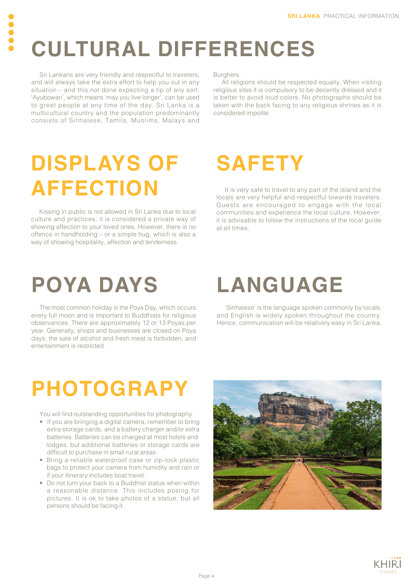# **CULTURAL DIFFERENCES**

Sri Lankans are very friendly and respectful to travelers, and will always take the extra effort to help you out in any situation – and this not done expecting a tip of any sort. 'Ayubowan', which means 'may you live longer', can be used to greet people at any time of the day. Sri Lanka is a multicultural country and the population predominantly consists of Sinhalese, Tamils, Muslims, Malays and

**OOO** 

Burghers.

All religions should be respected equally. When visiting religious sites it is compulsory to be decently dressed and it is better to avoid loud colors. No photographs should be taken with the back facing to any religious shrines as it is considered impolite.

### **DISPLAYS OF AFFECTION**

Kissing in public is not allowed in Sri Lanka due to local culture and practices; it is considered a private way of showing affection to your loved ones. However, there is no offence in handholding – or a simple hug, which is also a way of showing hospitality, affection and tenderness.

#### **SAFETY**

It is very safe to travel to any part of the island and the locals are very helpful and respectful towards travelers. Guests are encouraged to engage with the local communities and experience the local culture. However, it is advisable to follow the instructions of the local guide at all times.

#### **POYA DAYS**

The most common holiday is the Poya Day, which occurs every full moon and is important to Buddhists for religious observances. There are approximately 12 or 13 Poyas per year. Generally, shops and businesses are closed on Poya days, the sale of alcohol and fresh meat is forbidden, and entertainment is restricted.

## **LANGUAGE**

'Sinhalese' is the language spoken commonly by locals, and English is widely spoken throughout the country. Hence, communication will be relatively easy in Sri Lanka.

#### **PHOTOGRAPY**

You will find outstanding opportunities for photography.

- If you are bringing a digital camera, remember to bring extra storage cards, and a battery charger and/or extra batteries. Batteries can be charged at most hotels and lodges, but additional batteries or storage cards are difficult to purchase in small rural areas.
- Bring a reliable waterproof case or zip-lock plastic bags to protect your camera from humidity and rain or if your itinerary includes boat travel.
- Do not turn your back to a Buddhist statue when within a reasonable distance. This includes posing for pictures. It is ok to take photos of a statue, but all persons should be facing it.



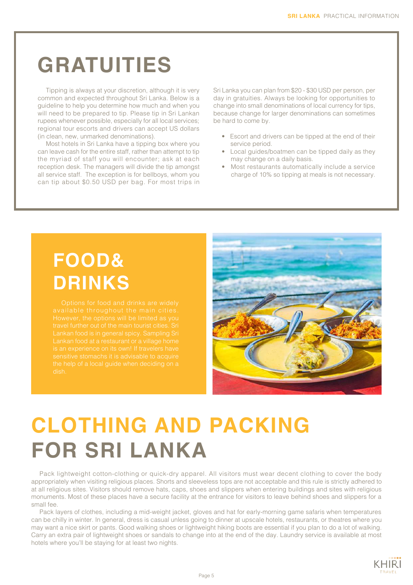#### **GRATUITIES**

Tipping is always at your discretion, although it is very common and expected throughout Sri Lanka. Below is a guideline to help you determine how much and when you will need to be prepared to tip. Please tip in Sri Lankan rupees whenever possible, especially for all local services; regional tour escorts and drivers can accept US dollars (in clean, new, unmarked denominations).

Most hotels in Sri Lanka have a tipping box where you can leave cash for the entire staff, rather than attempt to tip the myriad of staff you will encounter; ask at each reception desk. The managers will divide the tip amongst all service staff. The exception is for bellboys, whom you can tip about \$0.50 USD per bag. For most trips in Sri Lanka you can plan from \$20 - \$30 USD per person, per day in gratuities. Always be looking for opportunities to change into small denominations of local currency for tips, because change for larger denominations can sometimes be hard to come by.

- Escort and drivers can be tipped at the end of their service period.
- Local guides/boatmen can be tipped daily as they may change on a daily basis.
- Most restaurants automatically include a service charge of 10% so tipping at meals is not necessary.

#### **FOOD& DRINKS**

travel further out of the main tourist cities. Sri



## **CLOTHING AND PACKING FOR SRI LANKA**

Pack lightweight cotton-clothing or quick-dry apparel. All visitors must wear decent clothing to cover the body appropriately when visiting religious places. Shorts and sleeveless tops are not acceptable and this rule is strictly adhered to at all religious sites. Visitors should remove hats, caps, shoes and slippers when entering buildings and sites with religious monuments. Most of these places have a secure facility at the entrance for visitors to leave behind shoes and slippers for a small fee.

Pack layers of clothes, including a mid-weight jacket, gloves and hat for early-morning game safaris when temperatures can be chilly in winter. In general, dress is casual unless going to dinner at upscale hotels, restaurants, or theatres where you may want a nice skirt or pants. Good walking shoes or lightweight hiking boots are essential if you plan to do a lot of walking. Carry an extra pair of lightweight shoes or sandals to change into at the end of the day. Laundry service is available at most hotels where you'll be staying for at least two nights.

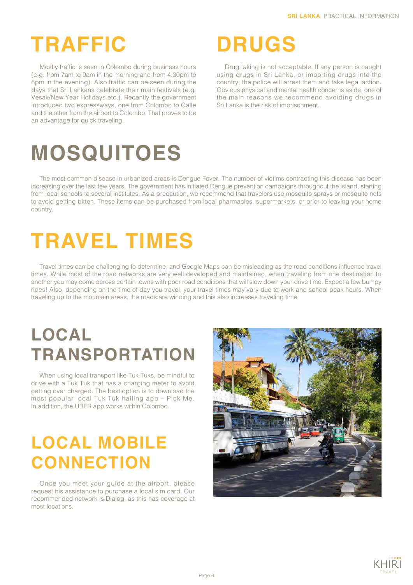## **TRAFFIC**

Mostly traffic is seen in Colombo during business hours (e.g. from 7am to 9am in the morning and from 4.30pm to 8pm in the evening). Also traffic can be seen during the days that Sri Lankans celebrate their main festivals (e.g. Vesak/New Year Holidays etc.). Recently the government introduced two expressways, one from Colombo to Galle and the other from the airport to Colombo. That proves to be an advantage for quick traveling.

#### **DRUGS**

Drug taking is not acceptable. If any person is caught using drugs in Sri Lanka, or importing drugs into the country, the police will arrest them and take legal action. Obvious physical and mental health concerns aside, one of the main reasons we recommend avoiding drugs in Sri Lanka is the risk of imprisonment.

## **MOSQUITOES**

The most common disease in urbanized areas is Dengue Fever. The number of victims contracting this disease has been increasing over the last few years. The government has initiated Dengue prevention campaigns throughout the island, starting from local schools to several institutes. As a precaution, we recommend that travelers use mosquito sprays or mosquito nets to avoid getting bitten. These items can be purchased from local pharmacies, supermarkets, or prior to leaving your home country.

## **TRAVEL TIMES**

Travel times can be challenging to determine, and Google Maps can be misleading as the road conditions influence travel times. While most of the road networks are very well developed and maintained, when traveling from one destination to another you may come across certain towns with poor road conditions that will slow down your drive time. Expect a few bumpy rides! Also, depending on the time of day you travel, your travel times may vary due to work and school peak hours. When traveling up to the mountain areas, the roads are winding and this also increases traveling time.

#### **LOCAL TRANSPORTATION**

When using local transport like Tuk Tuks, be mindful to drive with a Tuk Tuk that has a charging meter to avoid getting over charged. The best option is to download the most popular local Tuk Tuk hailing app – Pick Me. In addition, the UBER app works within Colombo.

#### **LOCAL MOBILE CONNECTION**

Once you meet your guide at the airport, please request his assistance to purchase a local sim card. Our recommended network is Dialog, as this has coverage at most locations.



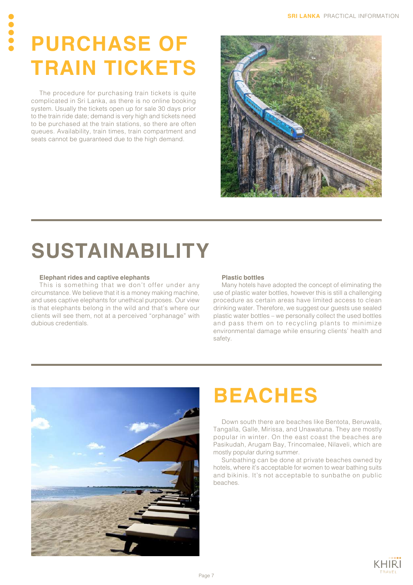## **PURCHASE OF TRAIN TICKETS**

The procedure for purchasing train tickets is quite complicated in Sri Lanka, as there is no online booking system. Usually the tickets open up for sale 30 days prior to the train ride date; demand is very high and tickets need to be purchased at the train stations, so there are often queues. Availability, train times, train compartment and seats cannot be guaranteed due to the high demand.



## **SUSTAINABILITY**

#### **Elephant rides and captive elephants**

This is something that we don't offer under any circumstance. We believe that it is a money making machine, and uses captive elephants for unethical purposes. Our view is that elephants belong in the wild and that's where our clients will see them, not at a perceived "orphanage" with dubious credentials.

#### **Plastic bottles**

Many hotels have adopted the concept of eliminating the use of plastic water bottles, however this is still a challenging procedure as certain areas have limited access to clean drinking water. Therefore, we suggest our guests use sealed plastic water bottles – we personally collect the used bottles and pass them on to recycling plants to minimize environmental damage while ensuring clients' health and safety.



#### **BEACHES**

Down south there are beaches like Bentota, Beruwala, Tangalla, Galle, Mirissa, and Unawatuna. They are mostly popular in winter. On the east coast the beaches are Pasikudah, Arugam Bay, Trincomalee, Nilaveli, which are mostly popular during summer.

Sunbathing can be done at private beaches owned by hotels, where it's acceptable for women to wear bathing suits and bikinis. It's not acceptable to sunbathe on public beaches.

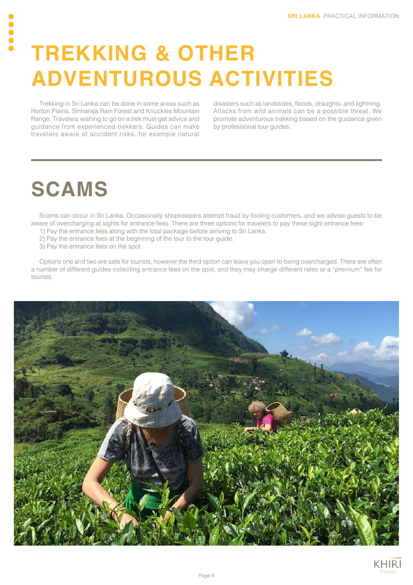#### **TREKKING & OTHER ADVENTUROUS ACTIVITIES**

Trekking in Sri Lanka can be done in some areas such as Horton Plains, Sinharaja Rain Forest and Knuckles Mountain Range. Travelers wishing to go on a trek must get advice and guidance from experienced trekkers. Guides can make travelers aware of accident risks, for example natural

disasters such as landslides, floods, draughts, and lightning. Attacks from wild animals can be a possible threat. We promote adventurous trekking based on the guidance given by professional tour guides.

#### **SCAMS**

Scams can occur in Sri Lanka. Occasionally shopkeepers attempt fraud by fooling customers, and we advise guests to be aware of overcharging at sights for entrance fees. There are three options for travelers to pay these sight entrance fees:

- 1) Pay the entrance fees along with the total package before arriving to Sri Lanka.
- 2) Pay the entrance fees at the beginning of the tour to the tour guide.
- 3) Pay the entrance fees on the spot.

Options one and two are safe for tourists, however the third option can leave you open to being overcharged. There are often a number of different guides collecting entrance fees on the spot, and they may charge different rates or a "premium" fee for tourists.